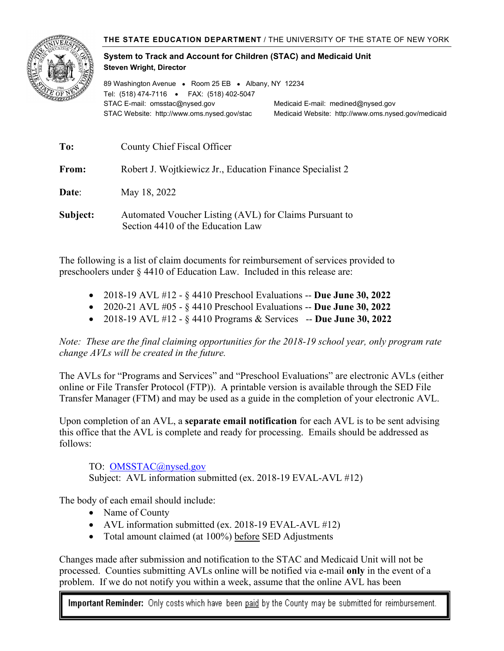

## **System to Track and Account for Children (STAC) and Medicaid Unit Steven Wright, Director**

89 Washington Avenue • Room 25 EB • Albany, NY 12234 Tel: (518) 474-7116 • FAX: (518) 402-5047 STAC E-mail: omsstac@nysed.gov Medicaid E-mail: medined@nysed.gov STAC Website: http://www.oms.nysed.gov/stac Medicaid Website: http://www.oms.nysed.gov/medicaid

| To:      | County Chief Fiscal Officer                                                                 |
|----------|---------------------------------------------------------------------------------------------|
| From:    | Robert J. Wojtkiewicz Jr., Education Finance Specialist 2                                   |
| Date:    | May 18, 2022                                                                                |
| Subject: | Automated Voucher Listing (AVL) for Claims Pursuant to<br>Section 4410 of the Education Law |

The following is a list of claim documents for reimbursement of services provided to preschoolers under § 4410 of Education Law. Included in this release are:

- 2018-19 AVL #12 § 4410 Preschool Evaluations -- **Due June 30, 2022**
- 2020-21 AVL #05 § 4410 Preschool Evaluations -- **Due June 30, 2022**
- 2018-19 AVL #12 § 4410 Programs & Services -- **Due June 30, 2022**

*Note: These are the final claiming opportunities for the 2018-19 school year, only program rate change AVLs will be created in the future.*

The AVLs for "Programs and Services" and "Preschool Evaluations" are electronic AVLs (either online or File Transfer Protocol (FTP)). A printable version is available through the SED File Transfer Manager (FTM) and may be used as a guide in the completion of your electronic AVL.

Upon completion of an AVL, a **separate email notification** for each AVL is to be sent advising this office that the AVL is complete and ready for processing. Emails should be addressed as follows:

TO: OMSSTAC@nysed.gov

Subject: AVL information submitted (ex. 2018-19 EVAL-AVL #12)

The body of each email should include:

- Name of County
- AVL information submitted (ex. 2018-19 EVAL-AVL #12)
- Total amount claimed (at 100%) before SED Adjustments

Changes made after submission and notification to the STAC and Medicaid Unit will not be processed. Counties submitting AVLs online will be notified via e-mail **only** in the event of a problem. If we do not notify you within a week, assume that the online AVL has been

Important Reminder: Only costs which have been paid by the County may be submitted for reimbursement.